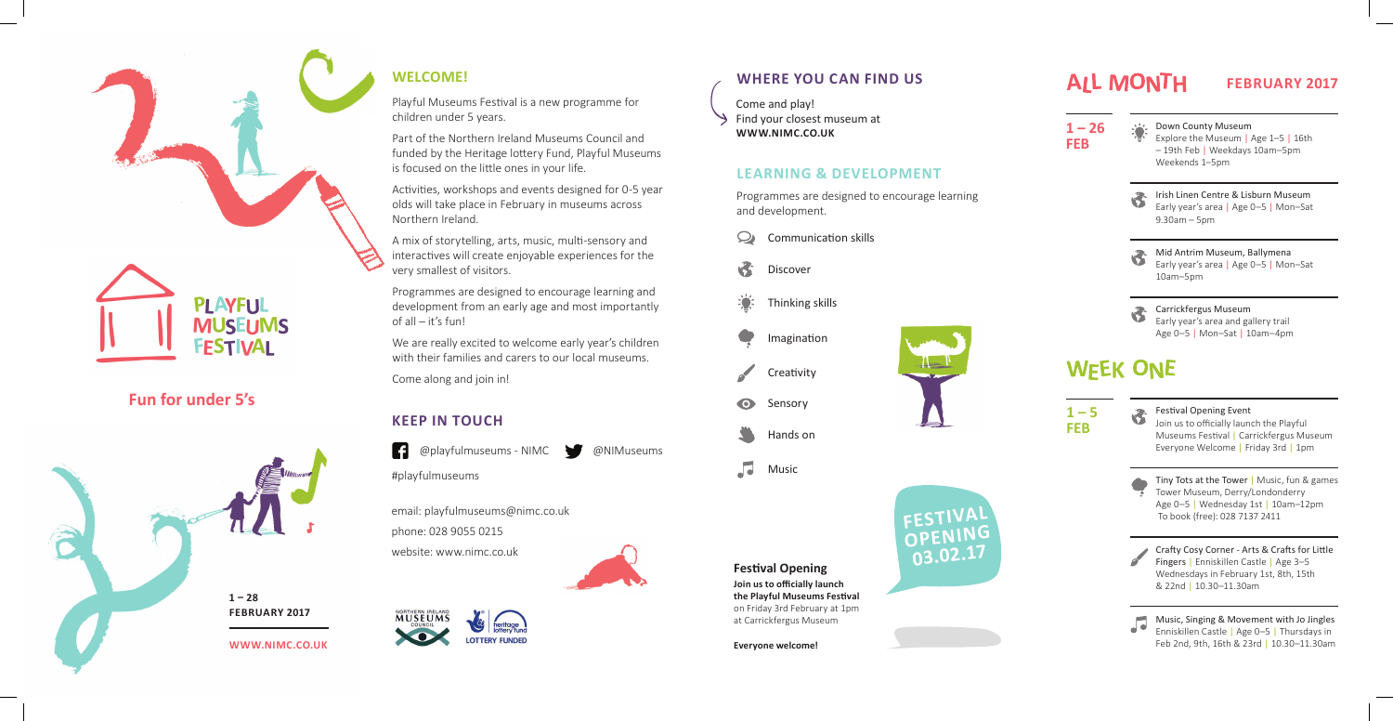

# **PLAYFUL MUSEUMS FESTIVAL**

## **WELCOME!**

Playful Museums Festival is a new programme for children under 5 years.

Part of the Northern Ireland Museums Council and funded by the Heritage lottery Fund, Playful Museums is focused on the little ones in your life.

Activities, workshops and events designed for 0-5 year olds will take place in February in museums across Northern Ireland.

A mix of storytelling, arts, music, multi-sensory and interactives will create enjoyable experiences for the very smallest of visitors.

Programmes are designed to encourage learning and development from an early age and most importantly of all – it's fun!

We are really excited to welcome early year's children with their families and carers to our local museums.

Come along and join in!

@playfulmuseums - NIMC @NIMuseums

#playfulmuseums

Come and play! Find your closest museum at **WWW.NIMC.CO.UK**





## **LEARNING & DEVELOPMENT**

Programmes are designed to encourage learning and development.

### **KEEP IN TOUCH**





**1 – 26** 

**Everyone welcome!** 

# ALL MONTH

**FESTIVAL OPENING 03.02.17**

**Join us to officially launch the Playful Museums Festival** on Friday 3rd February at 1pm at Carrickfergus Museum **Festival Opening** 

email: playfulmuseums@nimc.co.uk

phone: 028 9055 0215

website: www.nimc.co.uk



#### **MUSEUMS**  $\bullet$ **LOTTERY FUNDED**

| $1 - 26$<br><b>FEB</b> | Down County Museum<br>Explore the Museum   Age 1-5   16th<br>-19th Feb   Weekdays 10am-5pm<br>Weekends 1–5pm                                                |
|------------------------|-------------------------------------------------------------------------------------------------------------------------------------------------------------|
|                        | Irish Linen Centre & Lisburn Museum<br>Early year's area   Age 0-5   Mon-Sat<br>$9.30$ am $-5$ pm                                                           |
|                        | Mid Antrim Museum, Ballymena<br>Early year's area   Age 0-5   Mon-Sat<br>10am-5pm                                                                           |
|                        | Carrickfergus Museum<br>Early year's area and gallery trail<br>Age $0-5$   Mon-Sat   10am-4pm                                                               |
| <b>WEEK ONE</b>        |                                                                                                                                                             |
| $1 - 5$<br>FEB         | <b>Festival Opening Event</b><br>Join us to officially launch the Playful<br>Museums Festival   Carrickfergus Museum<br>Everyone Welcome   Friday 3rd   1pm |
|                        | Tiny Tots at the Tower   Music, fun & games<br>Tower Museum, Derry/Londonderry<br>Age 0-5   Wednesday 1st   10am-12pm<br>To book (free): 028 7137 2411      |
|                        | Crafty Cosy Corner - Arts & Crafts for Little<br>Fingers   Enniskillen Castle   Age 3-5<br>Wednesdays in February 1st, 8th, 15th<br>& 22nd   10.30-11.30am  |
|                        | Music, Singing & Movement with Jo Jingles<br>Enniskillen Castle   Age 0-5   Thursdays in<br>Feb 2nd, 9th, 16th & 23rd   10.30-11.30am                       |

### **FEBRUARY 2017**

**Fun for under 5's**